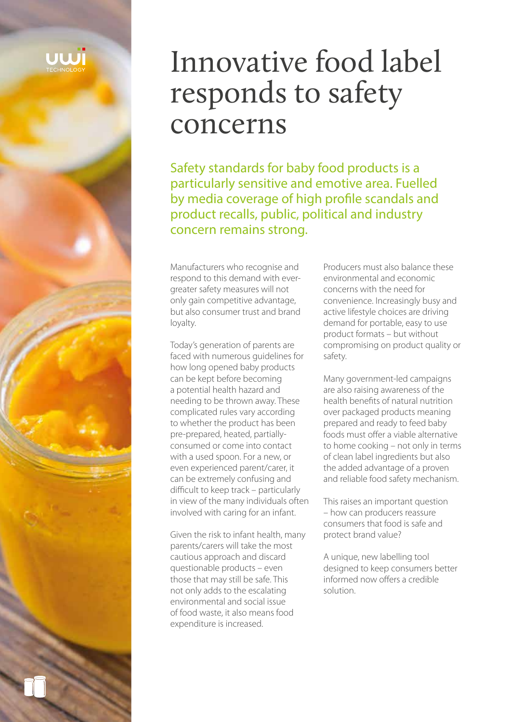# Innovative food label responds to safety concerns

Safety standards for baby food products is a particularly sensitive and emotive area. Fuelled by media coverage of high profile scandals and product recalls, public, political and industry concern remains strong.

Manufacturers who recognise and respond to this demand with evergreater safety measures will not only gain competitive advantage, but also consumer trust and brand loyalty.

Today's generation of parents are faced with numerous guidelines for how long opened baby products can be kept before becoming a potential health hazard and needing to be thrown away. These complicated rules vary according to whether the product has been pre-prepared, heated, partiallyconsumed or come into contact with a used spoon. For a new, or even experienced parent/carer, it can be extremely confusing and difficult to keep track – particularly in view of the many individuals often involved with caring for an infant.

Given the risk to infant health, many parents/carers will take the most cautious approach and discard questionable products – even those that may still be safe. This not only adds to the escalating environmental and social issue of food waste, it also means food expenditure is increased.

Producers must also balance these environmental and economic concerns with the need for convenience. Increasingly busy and active lifestyle choices are driving demand for portable, easy to use product formats – but without compromising on product quality or safety.

Many government-led campaigns are also raising awareness of the health benefits of natural nutrition over packaged products meaning prepared and ready to feed baby foods must offer a viable alternative to home cooking – not only in terms of clean label ingredients but also the added advantage of a proven and reliable food safety mechanism.

This raises an important question – how can producers reassure consumers that food is safe and protect brand value?

A unique, new labelling tool designed to keep consumers better informed now offers a credible solution.